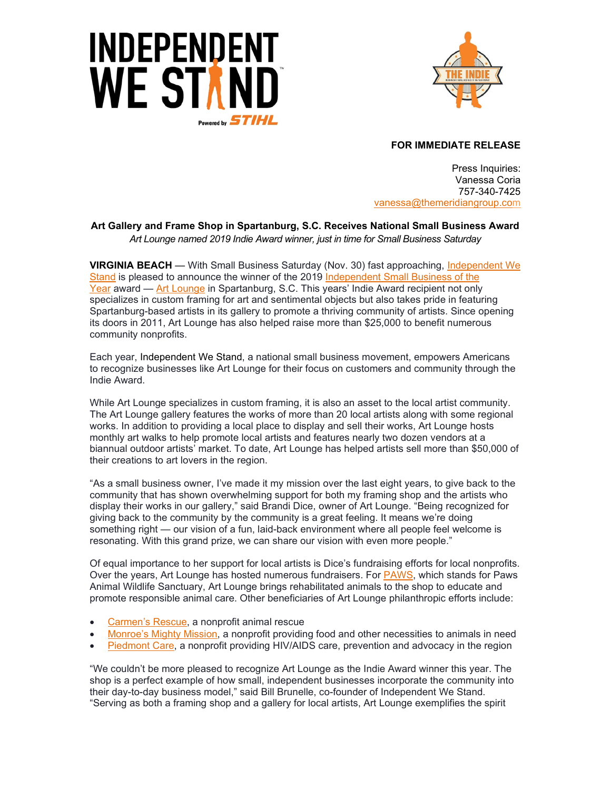



**FOR IMMEDIATE RELEASE**

Press Inquiries: Vanessa Coria 757-340-7425 vanessa[@themeridiangroup.](mailto:vanessa@themeridiangroup.com)com

## **Art Gallery and Frame Shop in Spartanburg, S.C. Receives National Small Business Award** *Art Lounge named 2019 Indie Award winner, just in time for Small Business Saturday*

**VIRGINIA BEACH** — With Small Business Saturday (Nov. 30) fast approaching, [Independent We](http://www.independentwestand.org/)  [Stand](http://www.independentwestand.org/) is pleased to announce the winner of the 2019 [Independent Small Business of the](http://www.indiebizaward.com/)  [Year](http://www.indiebizaward.com/) award — [Art Lounge](http://www.artlounge1.com/) in Spartanburg, S.C. This years' Indie Award recipient not only specializes in custom framing for art and sentimental objects but also takes pride in featuring Spartanburg-based artists in its gallery to promote a thriving community of artists. Since opening its doors in 2011, Art Lounge has also helped raise more than \$25,000 to benefit numerous community nonprofits.

Each year, Independent We Stand, a national small business movement, empowers Americans to recognize businesses like Art Lounge for their focus on customers and community through the Indie Award.

While Art Lounge specializes in custom framing, it is also an asset to the local artist community. The Art Lounge gallery features the works of more than 20 local artists along with some regional works. In addition to providing a local place to display and sell their works, Art Lounge hosts monthly art walks to help promote local artists and features nearly two dozen vendors at a biannual outdoor artists' market. To date, Art Lounge has helped artists sell more than \$50,000 of their creations to art lovers in the region.

"As a small business owner, I've made it my mission over the last eight years, to give back to the community that has shown overwhelming support for both my framing shop and the artists who display their works in our gallery," said Brandi Dice, owner of Art Lounge. "Being recognized for giving back to the community by the community is a great feeling. It means we're doing something right — our vision of a fun, laid-back environment where all people feel welcome is resonating. With this grand prize, we can share our vision with even more people."

Of equal importance to her support for local artists is Dice's fundraising efforts for local nonprofits. Over the years, Art Lounge has hosted numerous fundraisers. For **PAWS**, which stands for Paws Animal Wildlife Sanctuary, Art Lounge brings rehabilitated animals to the shop to educate and promote responsible animal care. Other beneficiaries of Art Lounge philanthropic efforts include:

- [Carmen's Rescue,](http://carmensrescuesc.com/index.html) a nonprofit animal rescue
- [Monroe's Mighty Mission,](http://www.monroesmightymission.org/) a nonprofit providing food and other necessities to animals in need
- [Piedmont](https://www.piedmontcare.org/) Care, a nonprofit providing HIV/AIDS care, prevention and advocacy in the region

"We couldn't be more pleased to recognize Art Lounge as the Indie Award winner this year. The shop is a perfect example of how small, independent businesses incorporate the community into their day-to-day business model," said Bill Brunelle, co-founder of Independent We Stand. "Serving as both a framing shop and a gallery for local artists, Art Lounge exemplifies the spirit